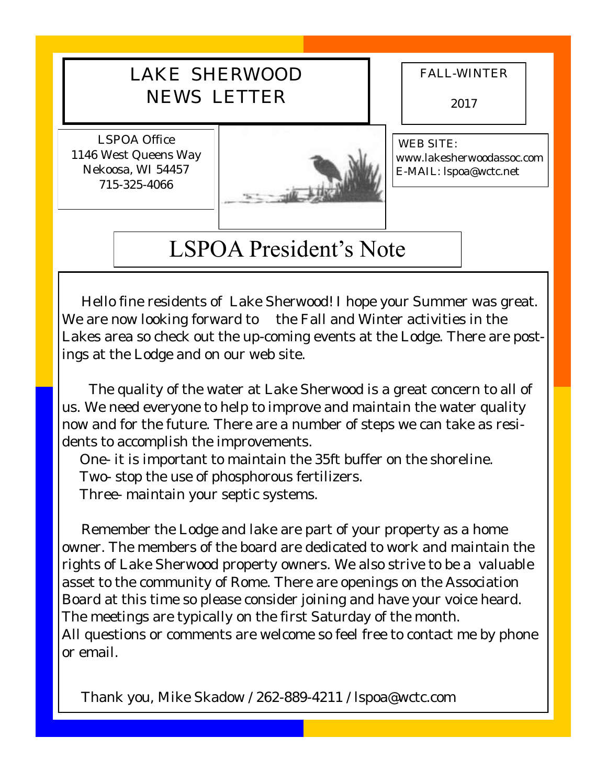## LAKE SHERWOOD NEWS LETTER

FALL-WINTER

2017

LSPOA Office 1146 West Queens Way Nekoosa, WI 54457 715-325-4066



WEB SITE: www.lakesherwoodassoc.com E-MAIL: lspoa@wctc.net

## LSPOA President's Note

 Hello fine residents of Lake Sherwood! I hope your Summer was great. We are now looking forward to the Fall and Winter activities in the Lakes area so check out the up-coming events at the Lodge. There are postings at the Lodge and on our web site.

 The quality of the water at Lake Sherwood is a great concern to all of us. We need everyone to help to improve and maintain the water quality now and for the future. There are a number of steps we can take as residents to accomplish the improvements.

One- it is important to maintain the 35ft buffer on the shoreline. Two- stop the use of phosphorous fertilizers.

Three- maintain your septic systems.

 Remember the Lodge and lake are part of your property as a home owner. The members of the board are dedicated to work and maintain the rights of Lake Sherwood property owners. We also strive to be a valuable asset to the community of Rome. There are openings on the Association Board at this time so please consider joining and have your voice heard. The meetings are typically on the first Saturday of the month. All questions or comments are welcome so feel free to contact me by phone or email.

Thank you, Mike Skadow / 262-889-4211 / lspoa@wctc.com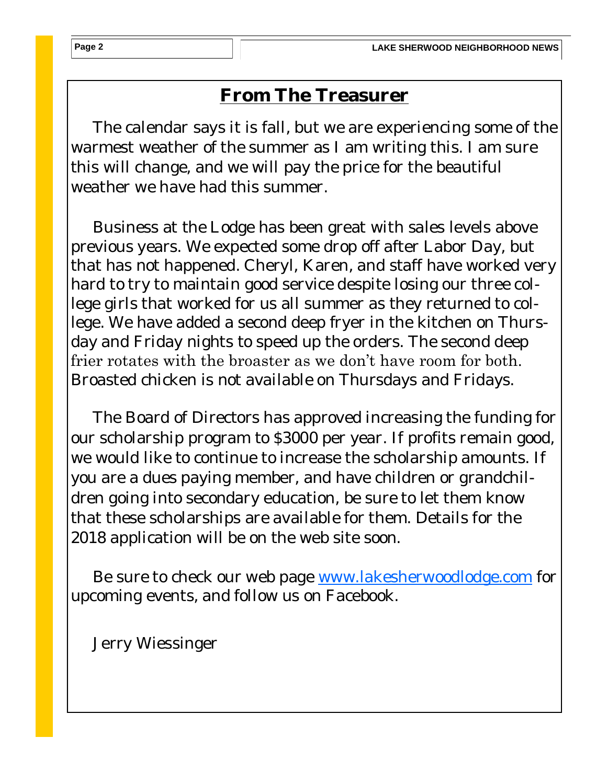## **From The Treasurer**

 The calendar says it is fall, but we are experiencing some of the warmest weather of the summer as I am writing this. I am sure this will change, and we will pay the price for the beautiful weather we have had this summer.

 Business at the Lodge has been great with sales levels above previous years. We expected some drop off after Labor Day, but that has not happened. Cheryl, Karen, and staff have worked very hard to try to maintain good service despite losing our three college girls that worked for us all summer as they returned to college. We have added a second deep fryer in the kitchen on Thursday and Friday nights to speed up the orders. The second deep frier rotates with the broaster as we don't have room for both. Broasted chicken is not available on Thursdays and Fridays.

 The Board of Directors has approved increasing the funding for our scholarship program to \$3000 per year. If profits remain good, we would like to continue to increase the scholarship amounts. If you are a dues paying member, and have children or grandchildren going into secondary education, be sure to let them know that these scholarships are available for them. Details for the 2018 application will be on the web site soon.

 Be sure to check our web page [www.lakesherwoodlodge.com](http://www.lakesherwoodlodge.com) for upcoming events, and follow us on Facebook.

Jerry Wiessinger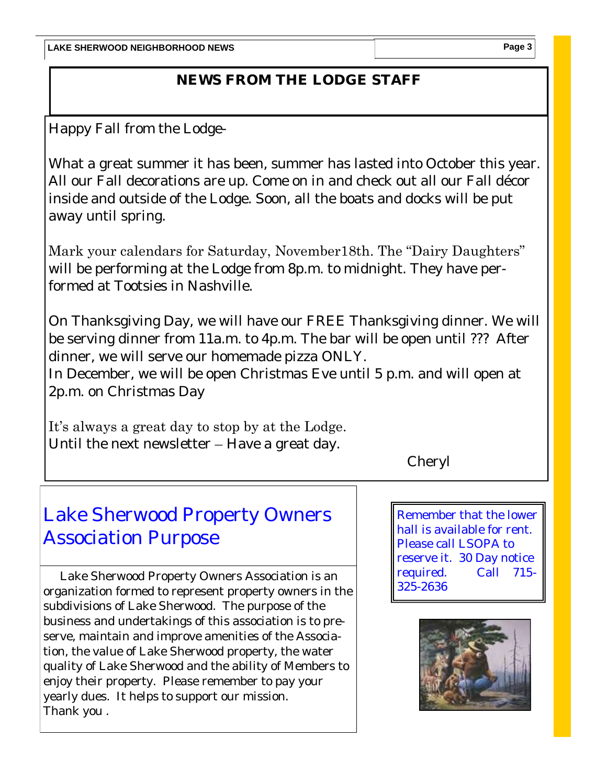## **NEWS FROM THE LODGE STAFF**

Happy Fall from the Lodge-

What a great summer it has been, summer has lasted into October this year. All our Fall decorations are up. Come on in and check out all our Fall décor inside and outside of the Lodge. Soon, all the boats and docks will be put away until spring.

Mark your calendars for Saturday, November18th. The "Dairy Daughters" will be performing at the Lodge from 8p.m. to midnight. They have performed at Tootsies in Nashville.

On Thanksgiving Day, we will have our FREE Thanksgiving dinner. We will be serving dinner from 11a.m. to 4p.m. The bar will be open until ??? After dinner, we will serve our homemade pizza ONLY.

In December, we will be open Christmas Eve until 5 p.m. and will open at 2p.m. on Christmas Day

It's always a great day to stop by at the Lodge.

Until the next newsletter – Have a great day.

Cheryl

## Lake Sherwood Property Owners Association Purpose

 Lake Sherwood Property Owners Association is an organization formed to represent property owners in the subdivisions of Lake Sherwood. The purpose of the business and undertakings of this association is to preserve, maintain and improve amenities of the Association, the value of Lake Sherwood property, the water quality of Lake Sherwood and the ability of Members to enjoy their property. Please remember to pay your yearly dues. It helps to support our mission. Thank you .

Remember that the lower hall is available for rent. Please call LSOPA to reserve it. 30 Day notice required. Call 715- 325-2636

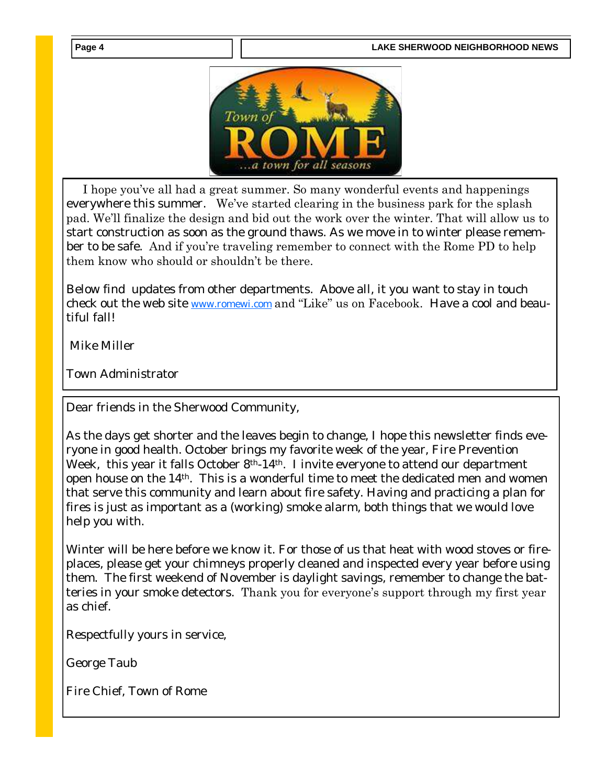

 I hope you've all had a great summer. So many wonderful events and happenings everywhere this summer. We've started clearing in the business park for the splash pad. We'll finalize the design and bid out the work over the winter. That will allow us to start construction as soon as the ground thaws. As we move in to winter please remember to be safe. And if you're traveling remember to connect with the Rome PD to help them know who should or shouldn't be there.

Below find updates from other departments. Above all, it you want to stay in touch check out the web site [www.romewi.com](http://www.romewi.com) and "Like" us on Facebook. Have a cool and beautiful fall!

Mike Miller

Town Administrator

Dear friends in the Sherwood Community,

As the days get shorter and the leaves begin to change, I hope this newsletter finds everyone in good health. October brings my favorite week of the year, Fire Prevention Week, this year it falls October 8<sup>th</sup>-14<sup>th</sup>. I invite everyone to attend our department open house on the 14th. This is a wonderful time to meet the dedicated men and women that serve this community and learn about fire safety. Having and practicing a plan for fires is just as important as a (working) smoke alarm, both things that we would love help you with.

Winter will be here before we know it. For those of us that heat with wood stoves or fireplaces, please get your chimneys properly cleaned and inspected every year before using them. The first weekend of November is daylight savings, remember to change the batteries in your smoke detectors. Thank you for everyone's support through my first year as chief.

Respectfully yours in service,

George Taub

Fire Chief, Town of Rome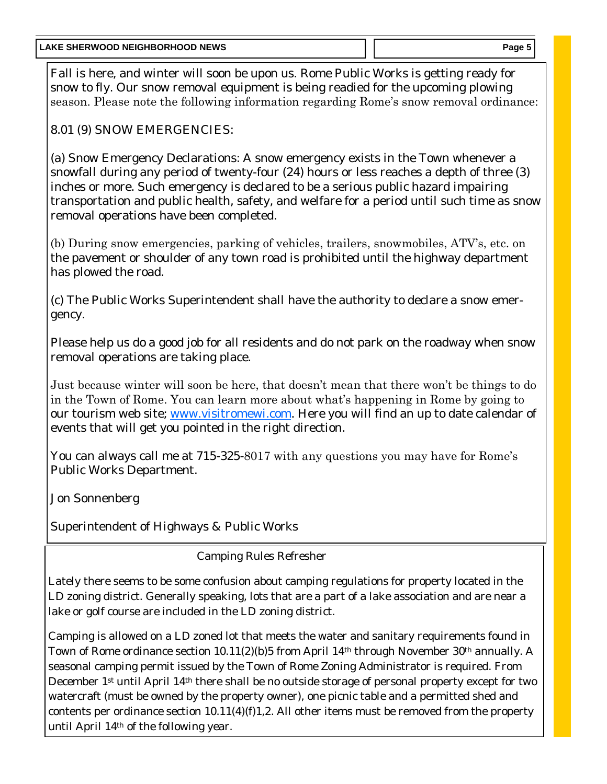Fall is here, and winter will soon be upon us. Rome Public Works is getting ready for snow to fly. Our snow removal equipment is being readied for the upcoming plowing season. Please note the following information regarding Rome's snow removal ordinance:

8.01 (9) SNOW EMERGENCIES:

(a) Snow Emergency Declarations: A snow emergency exists in the Town whenever a snowfall during any period of twenty-four (24) hours or less reaches a depth of three (3) inches or more. Such emergency is declared to be a serious public hazard impairing transportation and public health, safety, and welfare for a period until such time as snow removal operations have been completed.

(b) During snow emergencies, parking of vehicles, trailers, snowmobiles, ATV's, etc. on the pavement or shoulder of any town road is prohibited until the highway department has plowed the road.

(c) The Public Works Superintendent shall have the authority to declare a snow emergency.

Please help us do a good job for all residents and do not park on the roadway when snow removal operations are taking place.

Just because winter will soon be here, that doesn't mean that there won't be things to do in the Town of Rome. You can learn more about what's happening in Rome by going to our tourism web site; [www.visitromewi.com.](http://www.visitromewi.com) Here you will find an up to date calendar of events that will get you pointed in the right direction.

You can always call me at 715-325-8017 with any questions you may have for Rome's Public Works Department.

Jon Sonnenberg

Superintendent of Highways & Public Works

Camping Rules Refresher

Lately there seems to be some confusion about camping regulations for property located in the LD zoning district. Generally speaking, lots that are a part of a lake association and are near a lake or golf course are included in the LD zoning district.

Camping is allowed on a LD zoned lot that meets the water and sanitary requirements found in Town of Rome ordinance section 10.11(2)(b)5 from April 14<sup>th</sup> through November 30<sup>th</sup> annually. A seasonal camping permit issued by the Town of Rome Zoning Administrator is required. From December 1st until April 14th there shall be no outside storage of personal property except for two watercraft (must be owned by the property owner), one picnic table and a permitted shed and contents per ordinance section 10.11(4)(f)1,2. All other items must be removed from the property until April 14th of the following year.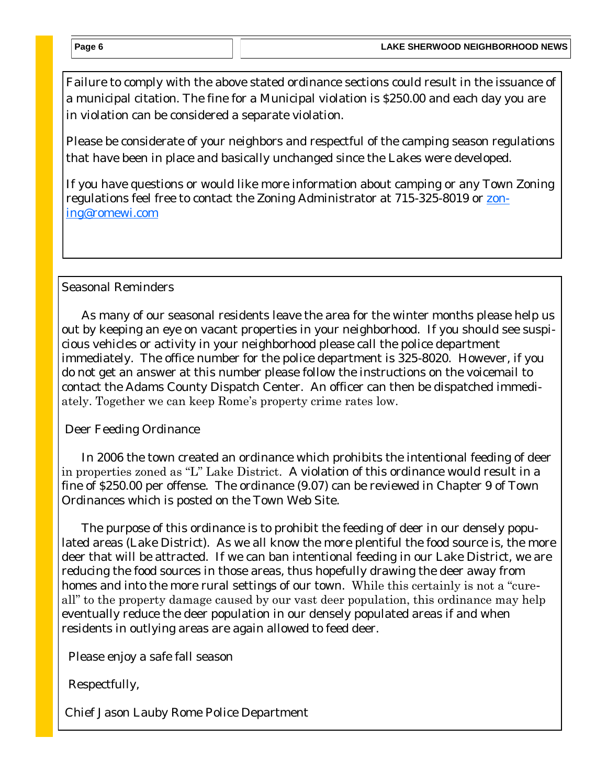Failure to comply with the above stated ordinance sections could result in the issuance of a municipal citation. The fine for a Municipal violation is \$250.00 and each day you are in violation can be considered a separate violation.

Please be considerate of your neighbors and respectful of the camping season regulations that have been in place and basically unchanged since the Lakes were developed.

If you have questions or would like more information about camping or any Town Zoning regulations feel free to contact the Zoning Administrator at 715-325-8019 or [zon](https://mg.mail.yahoo.com/neo/b/compose?to=zoning@romewi.com)[ing@romewi.com](https://mg.mail.yahoo.com/neo/b/compose?to=zoning@romewi.com)

### Seasonal Reminders

 As many of our seasonal residents leave the area for the winter months please help us out by keeping an eye on vacant properties in your neighborhood. If you should see suspicious vehicles or activity in your neighborhood please call the police department immediately. The office number for the police department is 325-8020. However, if you do not get an answer at this number please follow the instructions on the voicemail to contact the Adams County Dispatch Center. An officer can then be dispatched immediately. Together we can keep Rome's property crime rates low.

Deer Feeding Ordinance

 In 2006 the town created an ordinance which prohibits the intentional feeding of deer in properties zoned as "L" Lake District. A violation of this ordinance would result in a fine of \$250.00 per offense. The ordinance (9.07) can be reviewed in Chapter 9 of Town Ordinances which is posted on the Town Web Site.

 The purpose of this ordinance is to prohibit the feeding of deer in our densely populated areas (Lake District). As we all know the more plentiful the food source is, the more deer that will be attracted. If we can ban intentional feeding in our Lake District, we are reducing the food sources in those areas, thus hopefully drawing the deer away from homes and into the more rural settings of our town. While this certainly is not a "cureall" to the property damage caused by our vast deer population, this ordinance may help eventually reduce the deer population in our densely populated areas if and when residents in outlying areas are again allowed to feed deer.

Please enjoy a safe fall season

Respectfully,

Chief Jason Lauby Rome Police Department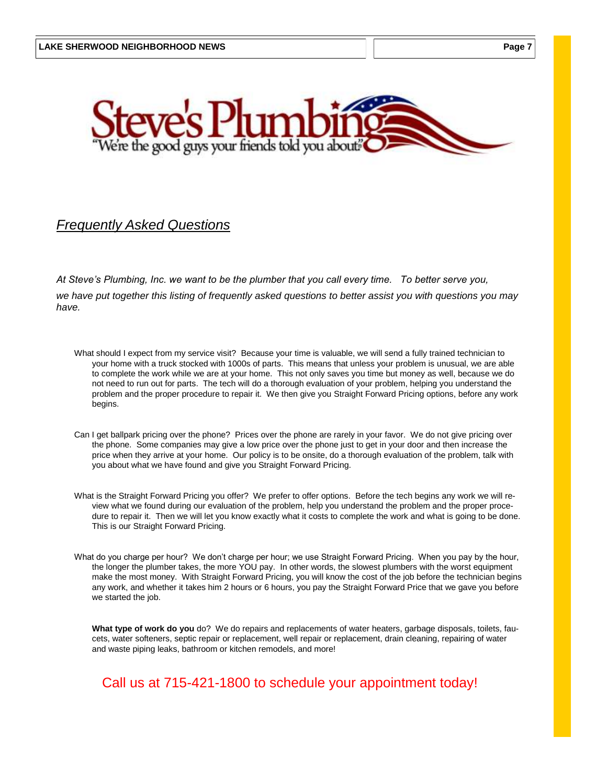

### *Frequently Asked Questions*

*At Steve's Plumbing, Inc. we want to be the plumber that you call every time. To better serve you, we have put together this listing of frequently asked questions to better assist you with questions you may have.*

- What should I expect from my service visit? Because your time is valuable, we will send a fully trained technician to your home with a truck stocked with 1000s of parts. This means that unless your problem is unusual, we are able to complete the work while we are at your home. This not only saves you time but money as well, because we do not need to run out for parts. The tech will do a thorough evaluation of your problem, helping you understand the problem and the proper procedure to repair it. We then give you Straight Forward Pricing options, before any work begins.
- Can I get ballpark pricing over the phone? Prices over the phone are rarely in your favor. We do not give pricing over the phone. Some companies may give a low price over the phone just to get in your door and then increase the price when they arrive at your home. Our policy is to be onsite, do a thorough evaluation of the problem, talk with you about what we have found and give you Straight Forward Pricing.
- What is the Straight Forward Pricing you offer? We prefer to offer options. Before the tech begins any work we will review what we found during our evaluation of the problem, help you understand the problem and the proper procedure to repair it. Then we will let you know exactly what it costs to complete the work and what is going to be done. This is our Straight Forward Pricing.
- What do you charge per hour? We don't charge per hour; we use Straight Forward Pricing. When you pay by the hour, the longer the plumber takes, the more YOU pay. In other words, the slowest plumbers with the worst equipment make the most money. With Straight Forward Pricing, you will know the cost of the job before the technician begins any work, and whether it takes him 2 hours or 6 hours, you pay the Straight Forward Price that we gave you before we started the job.

**What type of work do you** do? We do repairs and replacements of water heaters, garbage disposals, toilets, faucets, water softeners, septic repair or replacement, well repair or replacement, drain cleaning, repairing of water and waste piping leaks, bathroom or kitchen remodels, and more!

## Call us at 715-421-1800 to schedule your appointment today!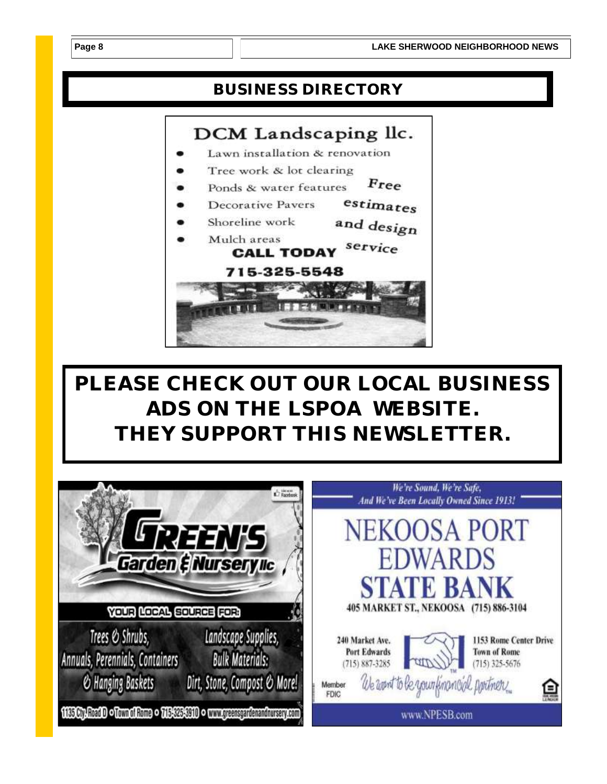## **BUSINESS DIRECTORY**



*PLEASE CHECK OUT OUR LOCAL BUSINESS ADS ON THE LSPOA WEBSITE. THEY SUPPORT THIS NEWSLETTER.*

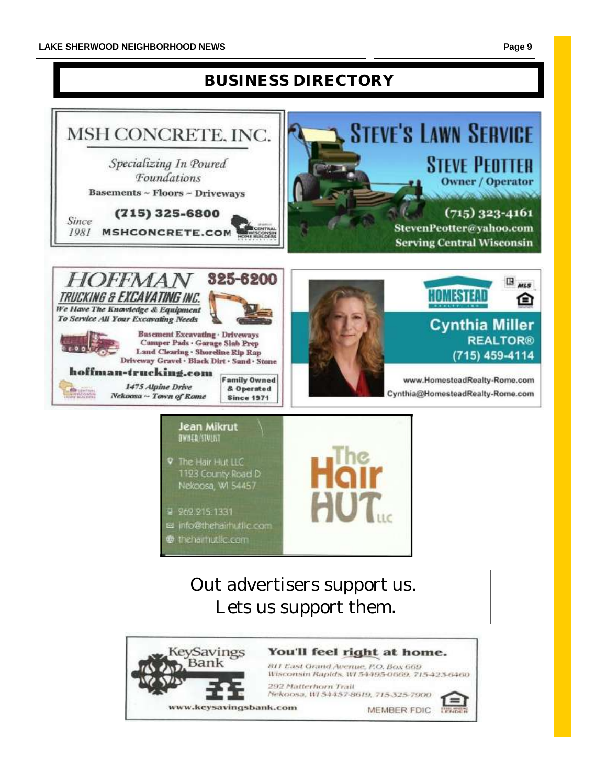## **BUSINESS DIRECTORY**



- 달 262.215.1331
- et info@thehairhutlic.com
- thehamutic.com

## Out advertisers support us. Lets us support them.

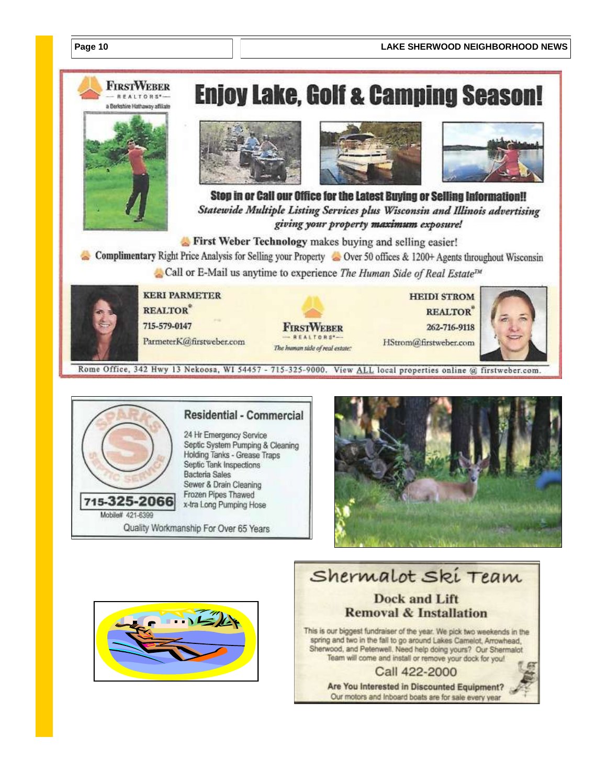

Rome Office, 342 Hwy 13 Nekoosa, WI 54457 - 715-325-9000. View ALL local properties online @ firstweber.com



#### **Residential - Commercial**

24 Hr Emergency Service Septic System Pumping & Cleaning Holding Tanks - Grease Traps Septic Tank Inspections Bacteria Sales Sewer & Drain Cleaning Frozen Pipes Thawed x-tra Long Pumping Hose

Quality Workmanship For Over 65 Years





#### Shermalot Ski Team **Dock and Lift Removal & Installation** This is our biggest fundraiser of the year. We pick two weekends in the spring and two in the fall to go around Lakes Camelot, Arrowhead. Sherwood, and Petenwell. Need help doing yours? Our Shermalot Team will come and install or remove your dock for you! Call 422-2000 Are You Interested in Discounted Equipment? Our motors and Inboard boats are for sale every year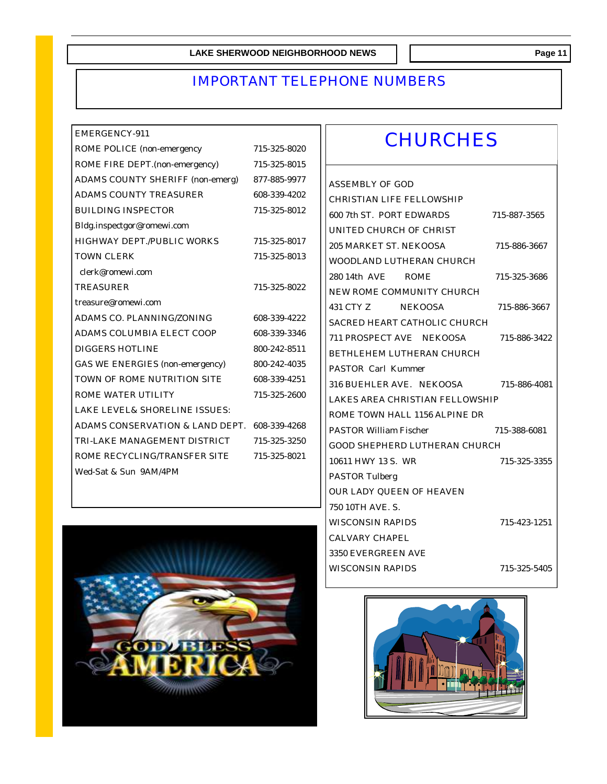## IMPORTANT TELEPHONE NUMBERS

| FMFRGFNCY-911                                |              | <b>CHURCHES</b>                       |              |
|----------------------------------------------|--------------|---------------------------------------|--------------|
| ROME POLICE (non-emergency                   | 715-325-8020 |                                       |              |
| ROME FIRE DEPT.(non-emergency)               | 715-325-8015 |                                       |              |
| ADAMS COUNTY SHERIFF (non-emerg)             | 877-885-9977 | ASSEMBLY OF GOD                       |              |
| ADAMS COUNTY TREASURER                       | 608-339-4202 | CHRISTIAN LIFE FELLOWSHIP             |              |
| <b>BUILDING INSPECTOR</b>                    | 715-325-8012 | 600 7th ST. PORT EDWARDS              | 715-887-3565 |
| Bldg.inspectgor@romewi.com                   |              | UNITED CHURCH OF CHRIST               |              |
| HIGHWAY DEPT./PUBLIC WORKS                   | 715-325-8017 | 205 MARKET ST. NEKOOSA                | 715-886-3667 |
| <b>TOWN CLERK</b>                            | 715-325-8013 | WOODLAND LUTHERAN CHURCH              |              |
| clerk@romewi.com                             |              | 280.14th AVF ROME                     | 715-325-3686 |
| <b>TREASURER</b>                             | 715-325-8022 | NEW ROME COMMUNITY CHURCH             |              |
| treasure@romewi.com                          |              | 431 CTY 7<br><b>NEKOOSA</b>           | 715-886-3667 |
| ADAMS CO. PLANNING/ZONING                    | 608-339-4222 | SACRED HEART CATHOLIC CHURCH          |              |
| ADAMS COLUMBIA ELECT COOP                    | 608-339-3346 | 711 PROSPECT AVE NEKOOSA              | 715-886-3422 |
| <b>DIGGERS HOTLINE</b>                       | 800-242-8511 | BETHLEHEM LUTHERAN CHURCH             |              |
| GAS WE ENERGIES (non-emergency)              | 800-242-4035 | PASTOR Carl Kummer                    |              |
| TOWN OF ROME NUTRITION SITE                  | 608-339-4251 | 316 BUEHLER AVE. NEKOOSA 715-886-4081 |              |
| ROME WATER UTILITY                           | 715-325-2600 | LAKES AREA CHRISTIAN FELLOWSHIP       |              |
| LAKE LEVEL& SHORELINE ISSUES:                |              | ROME TOWN HALL 1156 ALPINE DR         |              |
| ADAMS CONSERVATION & LAND DEPT. 608-339-4268 |              | <b>PASTOR William Fischer</b>         | 715-388-6081 |
| TRI-LAKE MANAGEMENT DISTRICT                 | 715-325-3250 | GOOD SHEPHERD LUTHERAN CHURCH         |              |
| ROME RECYCLING/TRANSFER SITE                 | 715-325-8021 | 10611 HWY 13 S. WR                    | 715-325-3355 |
| Wed-Sat & Sun 9AM/4PM                        |              | PASTOR Tulberg                        |              |
|                                              |              | OUR LADY QUEEN OF HEAVEN              |              |
|                                              |              | 750 10TH AVE. S.                      |              |



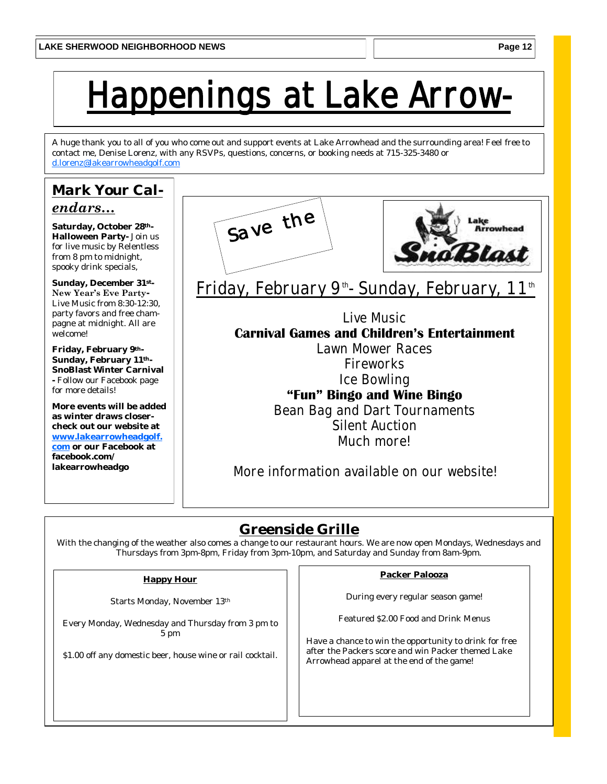# **Jappenings at Lake Arrow-**

A huge thank you to all of you who come out and support events at Lake Arrowhead and the surrounding area! Feel free to contact me, Denise Lorenz, with any RSVPs, questions, concerns, or booking needs at 715-325-3480 or [d.lorenz@lakearrowheadgolf.com](mailto:d.lorenz@lakearrowheadgolf.com)

## *Mark Your Calendars…*

**Saturday, October 28th-Halloween Party-** Join us for live music by Relentless from 8 pm to midnight, spooky drink specials,

**Sunday, December 31st-New Year's Eve Party-**Live Music from 8:30-12:30, party favors and free champagne at midnight. All are welcome!

**Friday, February 9th-Sunday, February 11th-SnoBlast Winter Carnival -** Follow our Facebook page for more details!

**More events will be added as winter draws closercheck out our website at [www.lakearrowheadgolf.](http://www.lakearrowheadgolf.com) [com](http://www.lakearrowheadgolf.com) or our Facebook at** 

**facebook.com/ lakearrowheadgo**





**Friday, February 9th - Sunday, February, 11th**

**Live Music Carnival Games and Children's Entertainment**

> **Lawn Mower Races Fireworks Ice Bowling "Fun" Bingo and Wine Bingo Bean Bag and Dart Tournaments**

**Silent Auction Much more!**

**More information available on our website!**

## **Greenside Grille**

With the changing of the weather also comes a change to our restaurant hours. We are now open Mondays, Wednesdays and Thursdays from 3pm-8pm, Friday from 3pm-10pm, and Saturday and Sunday from 8am-9pm.

#### **Happy Hour**

Starts Monday, November 13th

Every Monday, Wednesday and Thursday from 3 pm to 5 pm

\$1.00 off any domestic beer, house wine or rail cocktail.

#### **Packer Palooza**

During every regular season game!

Featured \$2.00 Food and Drink Menus

Have a chance to win the opportunity to drink for free after the Packers score and win Packer themed Lake Arrowhead apparel at the end of the game!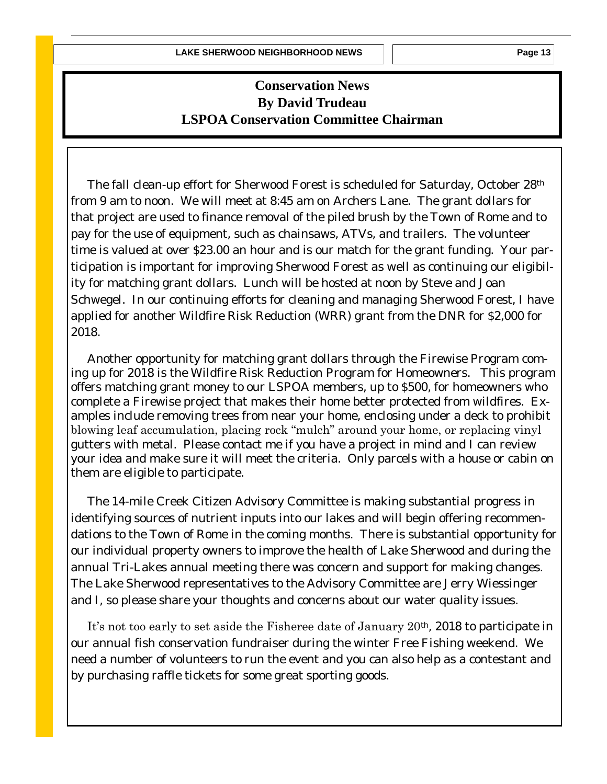## **Conservation News By David Trudeau LSPOA Conservation Committee Chairman**

 The fall clean-up effort for Sherwood Forest is scheduled for Saturday, October 28th from 9 am to noon. We will meet at 8:45 am on Archers Lane. The grant dollars for that project are used to finance removal of the piled brush by the Town of Rome and to pay for the use of equipment, such as chainsaws, ATVs, and trailers. The volunteer time is valued at over \$23.00 an hour and is our match for the grant funding. Your participation is important for improving Sherwood Forest as well as continuing our eligibility for matching grant dollars. Lunch will be hosted at noon by Steve and Joan Schwegel. In our continuing efforts for cleaning and managing Sherwood Forest, I have applied for another Wildfire Risk Reduction (WRR) grant from the DNR for \$2,000 for 2018.

 Another opportunity for matching grant dollars through the Firewise Program coming up for 2018 is the Wildfire Risk Reduction Program for Homeowners. This program offers matching grant money to our LSPOA members, up to \$500, for homeowners who complete a Firewise project that makes their home better protected from wildfires. Examples include removing trees from near your home, enclosing under a deck to prohibit blowing leaf accumulation, placing rock "mulch" around your home, or replacing vinyl gutters with metal. Please contact me if you have a project in mind and I can review your idea and make sure it will meet the criteria. Only parcels with a house or cabin on them are eligible to participate.

 The 14-mile Creek Citizen Advisory Committee is making substantial progress in identifying sources of nutrient inputs into our lakes and will begin offering recommendations to the Town of Rome in the coming months. There is substantial opportunity for our individual property owners to improve the health of Lake Sherwood and during the annual Tri-Lakes annual meeting there was concern and support for making changes. The Lake Sherwood representatives to the Advisory Committee are Jerry Wiessinger and I, so please share your thoughts and concerns about our water quality issues.

 It's not too early to set aside the Fisheree date of January 20th, 2018 to participate in our annual fish conservation fundraiser during the winter Free Fishing weekend. We need a number of volunteers to run the event and you can also help as a contestant and by purchasing raffle tickets for some great sporting goods.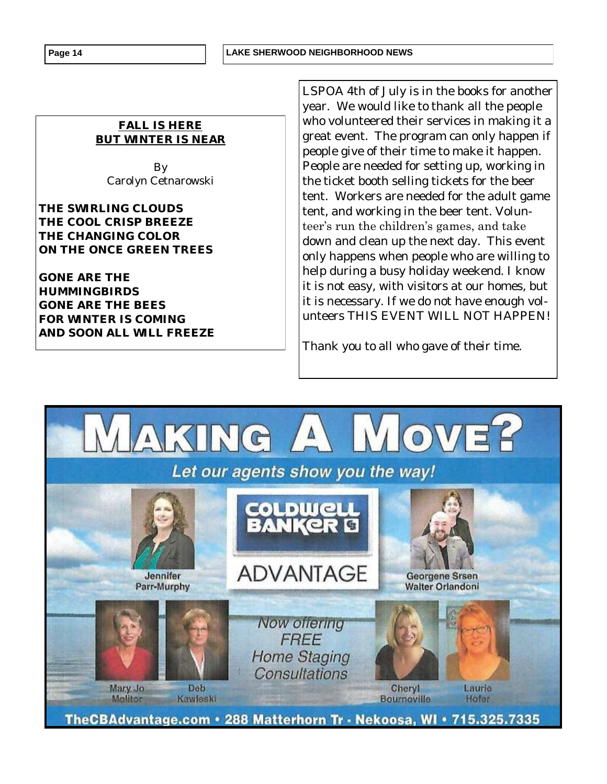#### **Page 14 LAKE SHERWOOD NEIGHBORHOOD NEWS**

*FALL IS HERE BUT WINTER IS NEAR*

> By Carolyn Cetnarowski

*THE SWIRLING CLOUDS THE COOL CRISP BREEZE THE CHANGING COLOR ON THE ONCE GREEN TREES*

*GONE ARE THE HUMMINGBIRDS GONE ARE THE BEES FOR WINTER IS COMING AND SOON ALL WILL FREEZE* 

LSPOA 4th of July is in the books for another year. We would like to thank all the people who volunteered their services in making it a great event. The program can only happen if people give of their time to make it happen. People are needed for setting up, working in the ticket booth selling tickets for the beer tent. Workers are needed for the adult game tent, and working in the beer tent. Volunteer's run the children's games, and take down and clean up the next day. This event only happens when people who are willing to help during a busy holiday weekend. I know it is not easy, with visitors at our homes, but it is necessary. If we do not have enough volunteers THIS EVENT WILL NOT HAPPEN!

Thank you to all who gave of their time.

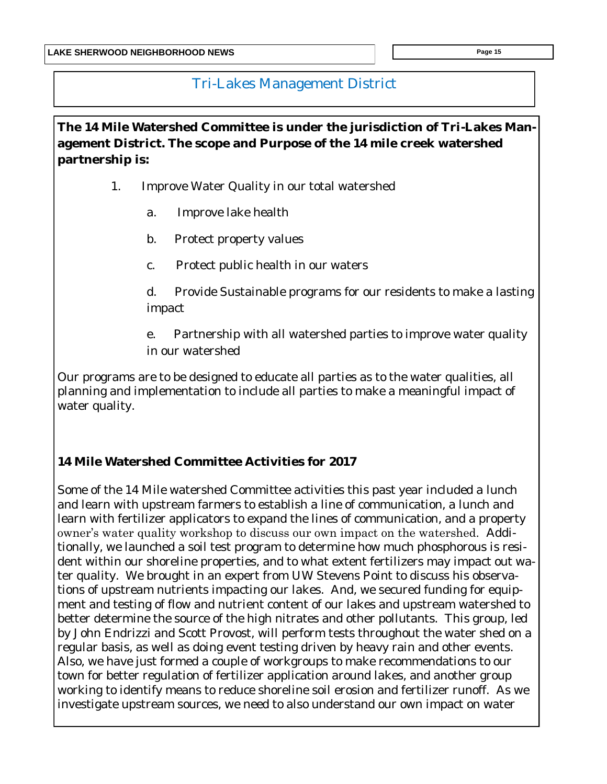## Tri-Lakes Management District

**The 14 Mile Watershed Committee is under the jurisdiction of Tri-Lakes Management District. The scope and Purpose of the 14 mile creek watershed partnership is:**

- 1. Improve Water Quality in our total watershed
	- a. Improve lake health
	- b. Protect property values
	- c. Protect public health in our waters

d. Provide Sustainable programs for our residents to make a lasting impact

e. Partnership with all watershed parties to improve water quality in our watershed

Our programs are to be designed to educate all parties as to the water qualities, all planning and implementation to include all parties to make a meaningful impact of water quality.

**14 Mile Watershed Committee Activities for 2017**

Some of the 14 Mile watershed Committee activities this past year included a lunch and learn with upstream farmers to establish a line of communication, a lunch and learn with fertilizer applicators to expand the lines of communication, and a property owner's water quality workshop to discuss our own impact on the watershed. Additionally, we launched a soil test program to determine how much phosphorous is resident within our shoreline properties, and to what extent fertilizers may impact out water quality. We brought in an expert from UW Stevens Point to discuss his observations of upstream nutrients impacting our lakes. And, we secured funding for equipment and testing of flow and nutrient content of our lakes and upstream watershed to better determine the source of the high nitrates and other pollutants. This group, led by John Endrizzi and Scott Provost, will perform tests throughout the water shed on a regular basis, as well as doing event testing driven by heavy rain and other events. Also, we have just formed a couple of workgroups to make recommendations to our town for better regulation of fertilizer application around lakes, and another group working to identify means to reduce shoreline soil erosion and fertilizer runoff. As we investigate upstream sources, we need to also understand our own impact on water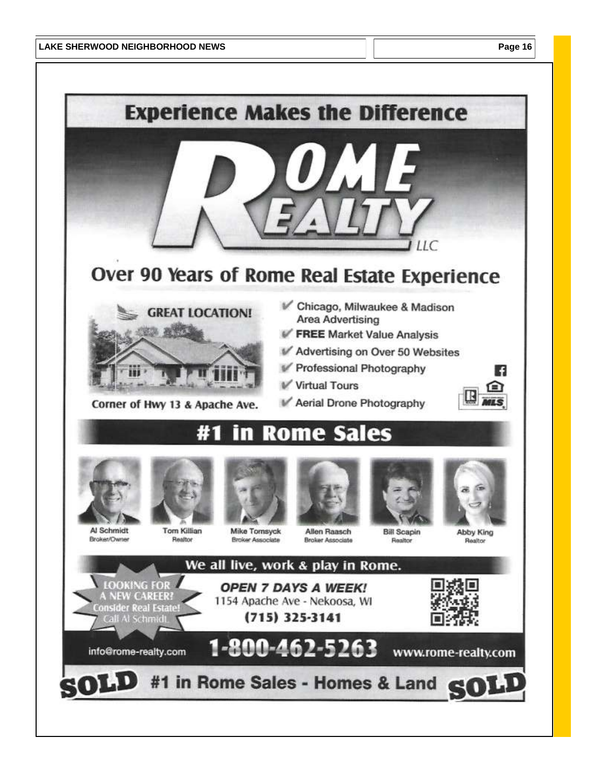

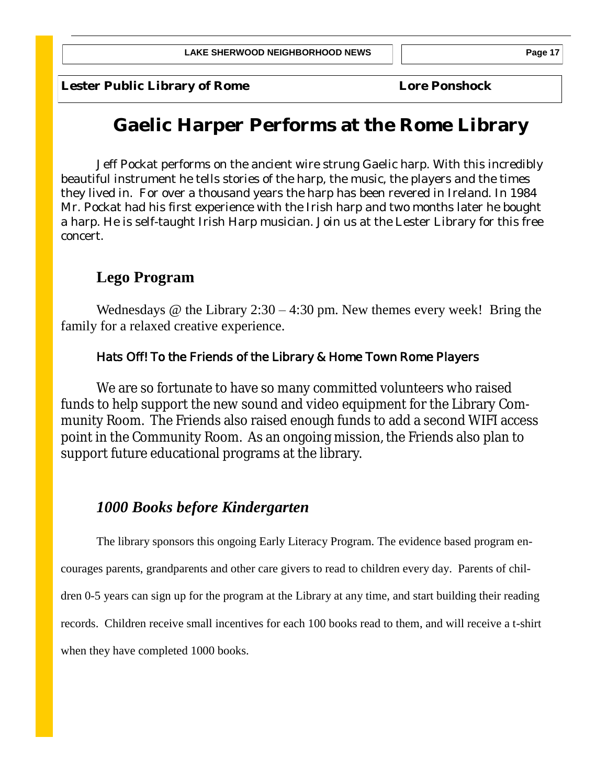Lester Public Library of Rome **Local Constructs** Lore Ponshock

## **Gaelic Harper Performs at the Rome Library**

Jeff Pockat performs on the ancient wire strung Gaelic harp. With this incredibly beautiful instrument he tells stories of the harp, the music, the players and the times they lived in. For over a thousand years the harp has been revered in Ireland. In 1984 Mr. Pockat had his first experience with the Irish harp and two months later he bought a harp. He is self-taught Irish Harp musician. Join us at the Lester Library for this free concert.

## **Lego Program**

Wednesdays  $\omega$  the Library 2:30 – 4:30 pm. New themes every week! Bring the family for a relaxed creative experience.

### **Hats Off! To the Friends of the Library & Home Town Rome Players**

We are so fortunate to have so many committed volunteers who raised funds to help support the new sound and video equipment for the Library Community Room. The Friends also raised enough funds to add a second WIFI access point in the Community Room. As an ongoing mission, the Friends also plan to support future educational programs at the library.

## *1000 Books before Kindergarten*

The library sponsors this ongoing Early Literacy Program. The evidence based program encourages parents, grandparents and other care givers to read to children every day. Parents of children 0-5 years can sign up for the program at the Library at any time, and start building their reading records. Children receive small incentives for each 100 books read to them, and will receive a t-shirt when they have completed 1000 books.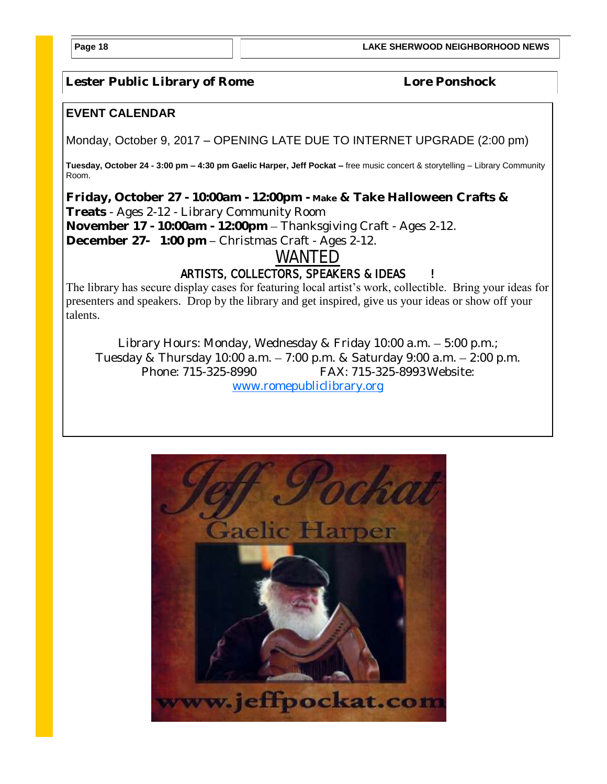**Page 18 LAKE SHERWOOD NEIGHBORHOOD NEWS**

Lester Public Library of Rome **Local Constructs** Lore Ponshock

#### **EVENT CALENDAR**

Monday, October 9, 2017 – OPENING LATE DUE TO INTERNET UPGRADE (2:00 pm)

**Tuesday, October 24 - 3:00 pm – 4:30 pm Gaelic Harper, Jeff Pockat –** free music concert & storytelling – Library Community Room.

**Friday, October 27 - 10:00am - 12:00pm - Make & Take Halloween Crafts & Treats** - Ages 2-12 - Library Community Room **November 17 - 10:00am - 12:00pm** – Thanksgiving Craft - Ages 2-12. **December 27- 1:00 pm –** Christmas Craft - Ages 2-12.

**WANTED**

### **ARTISTS, COLLECTORS, SPEAKERS & IDEAS !**

The library has secure display cases for featuring local artist's work, collectible. Bring your ideas for presenters and speakers. Drop by the library and get inspired, give us your ideas or show off your talents.

Library Hours: Monday, Wednesday & Friday 10:00 a.m. – 5:00 p.m.; Tuesday & Thursday 10:00 a.m. – 7:00 p.m. & Saturday 9:00 a.m. – 2:00 p.m. Phone: 715-325-8990 FAX: 715-325-8993Website: [www.romepubliclibrary.org](http://www.romepubliclibrary.org)

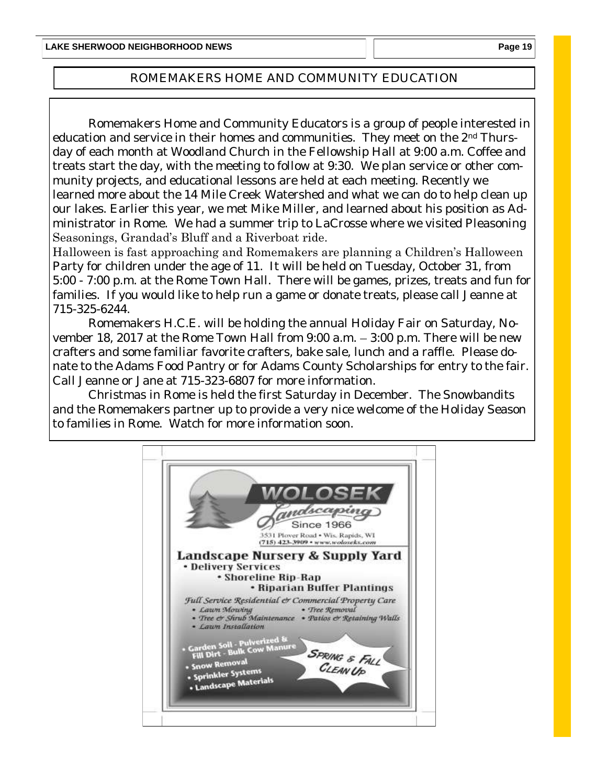### ROMEMAKERS HOME AND COMMUNITY EDUCATION

Romemakers Home and Community Educators is a group of people interested in education and service in their homes and communities. They meet on the 2nd Thursday of each month at Woodland Church in the Fellowship Hall at 9:00 a.m. Coffee and treats start the day, with the meeting to follow at 9:30. We plan service or other community projects, and educational lessons are held at each meeting. Recently we learned more about the 14 Mile Creek Watershed and what we can do to help clean up our lakes. Earlier this year, we met Mike Miller, and learned about his position as Administrator in Rome. We had a summer trip to LaCrosse where we visited Pleasoning Seasonings, Grandad's Bluff and a Riverboat ride.

Halloween is fast approaching and Romemakers are planning a Children's Halloween Party for children under the age of 11. It will be held on Tuesday, October 31, from 5:00 - 7:00 p.m. at the Rome Town Hall. There will be games, prizes, treats and fun for families. If you would like to help run a game or donate treats, please call Jeanne at 715-325-6244.

Romemakers H.C.E. will be holding the annual Holiday Fair on Saturday, November 18, 2017 at the Rome Town Hall from 9:00 a.m. – 3:00 p.m. There will be new crafters and some familiar favorite crafters, bake sale, lunch and a raffle. Please donate to the Adams Food Pantry or for Adams County Scholarships for entry to the fair. Call Jeanne or Jane at 715-323-6807 for more information.

Christmas in Rome is held the first Saturday in December. The Snowbandits and the Romemakers partner up to provide a very nice welcome of the Holiday Season to families in Rome. Watch for more information soon.